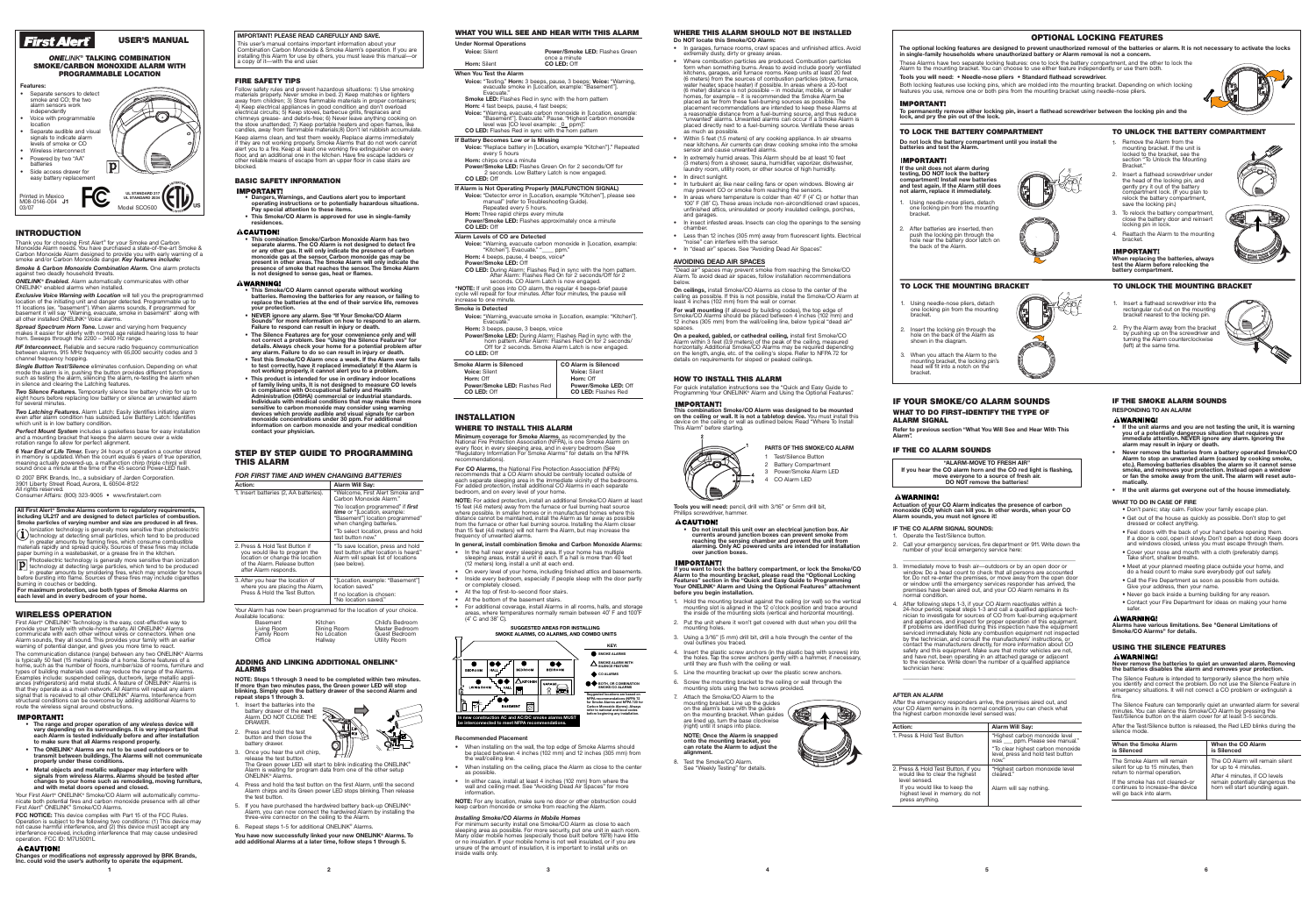#### **FIRE SAFETY TIPS**

Follow safety rules and prevent hazardous situations: 1) Use smoking materials properly. Never smoke in bed. 2) Keep matches or lighters away from children; 3) Store flammable materials in proper containers; 4) Keep electrical appliances in good condition and don't overload<br>electrical circuits; 5) Keep stoves, barbecue grills, fireplaces and<br>chimneys grease- and debris-free; 6) Never leave anything cooking on the stove unattended; 7) Keep portable heaters and open flames, like candles, away from flammable materials;8) Don't let rubbish accumulate. Keep alarms clean, and test them weekly. Replace alarms immediately if they are not working properly. Smoke Alarms that do not work cannot alert you to a fire. Keep at least one working fire extinguisher on every floor, and an additional one in the kitchen. Have fire escape ladders or other reliable means of escape from an upper floor in case stairs are blocked.

### **BASIC SAFETY INFORMATION**

#### **IMPORTANT!**

- **Dangers, Warnings, and Cautions alert you to important operating instructions or to potentially hazardous situations. Pay special attention to these items.**
- **This Smoke/CO Alarm is approved for use in single-family residences.**

#### **ACAUTION!**

**• This combination Smoke/Carbon Monoxide Alarm has two separate alarms. The CO Alarm is not designed to detect fire or any other gas. It will only indicate the presence of carbon monoxide gas at the sensor. Carbon monoxide gas may be present in other areas. The Smoke Alarm will only indicate the presence of smoke that reaches the sensor. The Smoke Alarm is not designed to sense gas, heat or flames.**

#### **AWARNING!**

- **CO LED:** Off **If Alarm is Not Operating Properly (MALFUNCTION SIGNAL) Voice:** "Detector error in [Location, example "Kitchen"], please see manual" (refer to Troubleshooting Guide).
	- Repeated every 5 hours.
- **Horn:** Three rapid chirps every minute
- **Power/Smoke LED:** Flashes approximately once a minute **CO LED:** Off
- **Alarm Levels of CO are Detected**
- **Voice:** "Warning, evacuate carbon monoxide in [Location, example: "Kitchen"]. Evacuate." "\_\_\_\_ ppm." **Horn:** 4 beeps, pause, 4 beeps, voice**\***
- **Power/Smoke LED:** Off
- **CO LED:** During Alarm: Flashes Red in sync with the horn pattern.<br>After Alarm: Flashes Red On for 2 seconds/Off for 2<br>seconds. CO Alarm Latch is now engaged.

- **This Smoke/CO Alarm cannot operate without working batteries. Removing the batteries for any reason, or failing to replace the batteries at the end of their service life, removes your protection.**
- **NEVER ignore any alarm. See "If Your Smoke/CO Alarm Sounds" for more information on how to respond to an alarm. Failure to respond can result in injury or death.**
- **The Silence Features are for your convenience only and will not correct a problem. See "Using the Silence Features" for details. Always check your home for a potential problem after any alarm. Failure to do so can result in injury or death.**
- **Test this Smoke/CO Alarm once a week. If the Alarm ever fails**
- **to test correctly, have it replaced immediately! If the Alarm is not working properly, it cannot alert you to a problem. • This product is intended for use in ordinary indoor locations**
- of family living units. It is not designed to measure CO levels<br>in compliance with Occupational Safety and Health<br>Administration (OSHA) commercial or industrial standards. **Individuals with medical conditions that may make them more sensitive to carbon monoxide may consider using warning devices which provide audible and visual signals for carbon monoxide concentrations under 30 ppm. For additional information on carbon monoxide and your medical condition contact your physician.**

*ONELINK***® TALKING COMBINATION SMOKE/CARBON MONOXIDE ALARM WITH PROGRAMMABLE LOCATION**

> **In general, install combination Smoke and Carbon Monoxide Alarms:** • In the hall near every sleeping area. If your home has multiple sleeping areas, install a unit in each. If a hall is more than 40 feet **IMPORTANT!**

# *First Alert*

# **USER'S MANUAL**

# **WHAT YOU WILL SEE AND HEAR WITH THIS ALARM**

| <b>Under Normal Operations</b> |                                       |
|--------------------------------|---------------------------------------|
| Voice: Silent                  | <b>Power/Smoke LED: Flashes Green</b> |
| <b>Horn: Silent</b>            | once a minute<br><b>CO LED: Off</b>   |

#### **When You Test the Alarm**

- **Voice:** "Testing." **Horn:** 3 beeps, pause, 3 beeps; **Voice:** "Warning, evacuate smoke in [Location, example: "Basement"]. Evacuate." **Smoke LED:** Flashes Red in sync with the horn pattern
- **Horn:** 4 fast beeps, pause, 4 fast beeps;
- **Voice:** "Warning, evacuate carbon monoxide in [Location, example: "Basement"]. Evacuate." Pause. "Highest carbon monoxide level was [CO level example: \_0\_ ppm]".
- **CO LED:** Flashes Red in sync with the horn pattern **If Battery Becomes Low or is Missing**
- **Voice:** "Replace battery in [Location, example "Kitchen"]." Repeated
- every 5 hours **Horn:** chirps once a minute

**Power/Smoke LED:** Flashes Green On for 2 seconds/Off for 2 seconds. Low Battery Latch is now engaged.

> **SMOKE ALARMS KEY:**



For quick installation instructions see the "Quick and Easy Guide to Programming Your ONELINK® Alarm and Using the Optional Features".

**IMPORTANT!** This Alarm" before starting.

**\*NOTE:** If unit goes into CO alarm, the regular 4 beeps-brief pause cycle will repeat for four minutes. After four minutes, the pause will increase to one minute.

#### **Smoke is Detected**

- **Voice:** "Warning, evacuate smoke in [Location, example: "Kitchen"]. Evacuate.
- **Horn:** 3 beeps, pause, 3 beeps, voice **Power/Smoke LED:** During Alarm: Flashes Red in sync with the horn pattern. After Alarm: Flashes Red On for 2 seconds/
- Off for 2 seconds. Smoke Alarm Latch is now engaged. **CO LED:** Off

**Smoke Alarm is Silenced Voice:** Silent **Horn:** Off **Power/Smoke LED:** Flashes Red **CO LED:** Off **CO Alarm is Silenced Voice:** Silent **Horn:** Off

**Power/Smoke LED:** Off **CO LED:** Flashes Red

- **Battery Compartment** 3 Power/Smoke Alarm LED
- 4 CO Alarm LED

**INSTALLATION**

**WHERE TO INSTALL THIS ALARM**

**Minimum coverage for Smoke Alarms**, as recommended by the National Fire Protection Association (NFPA), is one Smoke Alarm on every floor, in every sleeping area, and in every bedroom (See "Regulatory Information For Smoke Alarms" for details on the NFPA

recommendations).

**For CO Alarms,** the National Fire Protection Association (NFPA) recommends that a CO Alarm should be centrally located outside of each separate sleeping area in the immediate vicinity of the bedrooms. For added protection, install additional CO Alarms in each separate

bedroom, and on every level of your home.

**NOTE:** For added protection, install an additional Smoke/CO Alarm at least 15 feet (4.6 meters) away from the furnace or fuel burning heat source where possible. In smaller homes or in manufactured homes where this distance cannot be maintained, install the Alarm as far away as possible from the furnace or other fuel burning source. Installing the Alarm closer than 15 feet (4.6 meters) will not harm the Alarm, but may increase the

frequency of unwanted alarms.

- (12 meters) long, install a unit at each end. • On every level of your home, including finished attics and basements.
- Inside every bedroom, especially if people sleep with the door partly or completely closed.
- At the top of first-to-second floor stairs.

H●◆ 군

*Single Button Test/Silence* eliminates confusion. Depending on what mode the alarm is in, pushing the button provides different functions<br>such as testing the alarm, silencing the alarm, re-testing the alarm when<br>in silence and clearing the Latching features.

- At the bottom of the basement stairs.
- For additional coverage, install Alarms in all rooms, halls, and storage areas, where temperatures normally remain between 40˚ F and 100˚F (4˚ C and 38˚ C).

 $\bullet\bullet$ 

 $\begin{picture}(20,5) \put(0,0){\vector(0,1){10}} \put(15,0){\vector(0,1){10}} \put(15,0){\vector(0,1){10}} \put(15,0){\vector(0,1){10}} \put(15,0){\vector(0,1){10}} \put(15,0){\vector(0,1){10}} \put(15,0){\vector(0,1){10}} \put(15,0){\vector(0,1){10}} \put(15,0){\vector(0,1){10}} \put(15,0){\vector(0,1){10}} \put(15,0){\vector(0,1){10}} \put(15,0){\vector(0,$ 

**Recommended Placement**

*Two Silence Features.* Temporarily silence low battery chirp for up to eight hours before replacing low battery or silence an unw for several minutes.

• When installing on the wall, the top edge of Smoke Alarms should be placed between 4 inches (102 mm) and 12 inches (305 mm) from

• When installing on the ceiling, place the Alarm as close to the center

the wall/ceiling line.

as possible.

ነ Й∍

• In either case, install at least 4 inches (102 mm) from where the wall and ceiling meet. See "Avoiding Dead Air Spaces" for more

information.

**NOTE:** For any location, make sure no door or other obstruction could keep carbon monoxide or smoke from reaching the Alarm.

All rights reserved. Consumer Affairs: (800) 323-9005 • www.firstalert.com

*Installing Smoke/CO Alarms in Mobile Homes*

For minimum security install one Smoke/CO Alarm as close to each sleeping area as possible. For more security, put one unit in each room. Many older mobile homes (especially those built before 1978) have little or no insulation. If your mobile home is not well insulated, or if you are unsure of the amount of insulation, it is important to install units on

inside walls only.

#### **SUGGESTED AREAS FOR INSTALLING SMOKE ALARMS, CO ALARMS, AND COMBO UNITS**

**SMOKE ALARM WITH SILENCE FEATURE CO ALARMS**

**BOTH, OR COMBINATION SMOKE/CO ALARMS**

# The optional locking features are designed to prevent unauthorized removal of the batteries or alarm. It is not necessary to activate the locks<br>in single-family households where unauthorized battery or Alarm removal is not **Tools you will need: • Needle-nose pliers • Standard flathead screwdriver. TO LOCK THE BATTERY COMPARTMENT TO UNLOCK THE BATTERY COMPARTMENT Do not lock the battery compartment until you install the batteries and test the Alarm. IMPORTANT! If the unit does not alarm during testing, DO NOT lock the battery compartment! Install new batteries and test again. If the Alarm still does not alarm, replace it immediately.** 1. Using needle-nose pliers, detach one locking pin from the mounting bracket.



RESER

**Suggested locations are based on NFPA recommendations (NFPA 72 for Smoke Alarms and NFPA 720 for Carbon Monoxide Alarms). Always refer to national and local codes before beginning any installation.**

Using needle-nose pliers, detach one locking pin from the mounting

Insert the locking pin through the hole on the back of the Alarm as shown in the diagram.

**In new construction AC and AC/DC smoke alarms MUST be interconnected to meet NFPA recommendations.**

BASEMENT

 $\mathsf{L} \bullet\blacklozenge \blacklozenge |\triangle$ кітсне

ᄓᆟᇻᄖᆡᄛᆖᆸ 「●◆

 $\bullet$ 

When you attach the Alarm to the mounting bracket, the locking pin's head will fit into a notch on the

**2 3**

# **HOW TO INSTALL THIS ALARM**

12 inches (305 mm) from the wall/ceiling line, below typical "dead air

**This combination Smoke/CO Alarm was designed to be mounted on the ceiling or wall. It is not a tabletop device.** You must install this device on the ceiling or wall as outlined below. Read "Where To Install

**Tools you will need:** pencil, drill with 3/16" or 5mm drill bit,

Phillips screwdriver, hammer.

**ACAUTION!** 

**• Do not install this unit over an electrical junction box. Air currents around junction boxes can prevent smoke from reaching the sensing chamber and prevent the unit from alarming. Only AC powered units are intended for installation**

**1 Changes or modifications not expressly approved by BRK Brands, Inc. could void the user's authority to operate the equipment.** **over junction boxes.**

**If you want to lock the battery compartment, or lock the Smoke/CO Alarm to the mounting bracket, please read the "Optional Locking Features" section in the "Quick and Easy Guide to Programming Your ONELINK® Alarm and Using the Optional Features" attachment before you begin installation.**

1. Hold the mounting bracket against the ceiling (or wall) so the vertical mounting slot is aligned in the 12 o'clock position and trace around the inside of the mounting slots (vertical and horizontal mounting).

4. After following steps 1-3, if your CO Alarm reactivates within a 24-hour period, repeat steps 1-3 and call a qualified appliance technician to investigate for sources of CO from fuel-burning equipment and appliances, and inspect for proper operation of this equipment. If problems are identified during this inspection have the equipment serviced immediately. Note any combustion equipment not inspected by the technician, and consult the manufacturers' instructions, or contact the manufacturers directly, for more information about CO safety and this equipment. Make sure that motor vehicles are not, and have not, been operating in an attached garage or adjacent the ridio field positive pertaining in an attached garage or adjacent

2. Put the unit where it won't get covered with dust when you drill the

mounting holes.

3. Using a 3/16" (5 mm) drill bit, drill a hole through the center of the oval outlines you traced.

4. Insert the plastic screw anchors (in the plastic bag with screws) into the holes. Tap the screw anchors gently with a hammer, if necessary, until they are flush with the ceiling or wall.

5. Line the mounting bracket up over the plastic screw anchors. 6. Screw the mounting bracket to the ceiling or wall through the mounting slots using the two screws provided.

7. Attach the Smoke/CO Alarm to the mounting bracket. Line up the guides on the alarm's base with the guides on the mounting bracket. When guides

are lined up, turn the base clockwise (right) until it snaps into place. **NOTE: Once the Alarm is snapped onto the mounting bracket, you can rotate the Alarm to adjust the**

**alignment.**

8. Test the Smoke/CO Alarm. See "Weekly Testing" for details.

# **PARTS OF THIS SMOKE/CO ALARM**

1 Test/Silence Button

# **WIRELESS OPERATION**

- **AWARNING!**
- **If the unit alarms and you are not testing the unit, it is warning you of a potentially dangerous situation that requires your immediate attention. NEVER ignore any alarm. Ignoring the alarm may result in injury or death.**
- **• Never remove the batteries from a battery operated Smoke/CO Alarm to stop an unwanted alarm (caused by cooking smoke, etc.). Removing batteries disables the alarm so it cannot sense smoke, and removes your protection. Instead open a window or fan the smoke away from the unit. The alarm will reset automatically.**

First Alert® ONELINK® Technology is the easy, cost-effective way to provide your family with whole-home safety. All ONELINK® Alarms communicate with each other without wires or connectors. When one Alarm sounds, they all sound. This provides your family with an earlier warning of potential danger, and gives you more time to react.

### **USING THE SILENCE FEATURES AWARNING!**

The communication distance (range) between any two ONELINK® Alarms is typically 50 feet (15 meters) inside of a home. Some features of a home, such as the number of floors, number/size of rooms, furniture and types of building materials used may reduce the range of the Alarms.<br>Examples include: suspended ceilings, ductwork, large metallic appli-<br>ances (refrigerators) and metal studs. A feature of ONELINK® Alarms is that they operate as a mesh network. All Alarms will repeat any alarm signal that is received to all other ONELINK® Alarms. Interference from structural conditions can be overcome by adding additional Alarms to route the wireless signal around obstructions.

#### **IMPORTANT!**

- **The range and proper operation of any wireless device will vary depending on its surroundings. It is very important that each Alarm is tested individually before and after installation to make sure that all Alarms respond properly.**
- **The ONELINK® Alarms are not to be used outdoors or to transmit between buildings. The Alarms will not communicate properly under these conditions.**
- **Metal objects and metallic wallpaper may interfere with signals from wireless Alarms. Alarms should be tested after changes to your home such as remodeling, moving furniture, and with metal doors opened and closed.**

Your First Alert<sup>®</sup> ONELINK<sup>®</sup> Smoke/CO Alarm will automatically communicate both potential fires and carbon monoxide presence with all other First Alert<sup>®</sup> ONELINK<sup>®</sup> Smoke/CO Alarms.

**FCC NOTICE:** This device complies with Part 15 of the FCC Rules. Operation is subject to the following two conditions: (1) This device may not cause harmful interference, and (2) this device must accept any interference received, including interference that may cause undesired operation. FCC ID: M7LI5001L

#### **ACAUTION!**

• In garages, furnace rooms, crawl spaces and unfinished attics. Avoid nely dusty, dirty or greasy areas

# **INTRODUCTION**

Thank you for choosing First Alert® for your Smoke and Carbon Monoxide Alarm needs. You have purchased a state-of-the-art Smoke & Carbon Monoxide Alarm designed to provide you with early warning of a smoke and/or Carbon Monoxide danger. *Key features include:*

*Smoke & Carbon Monoxide Combination Alarm.* One alarm protects against two deadly household threats. *ONELINK***®** *Enabled.* Alarm automatically communicates with other

ONELINK® enabled alarms when installed. *Exclusive Voice Warning with Location* will tell you the preprogrammed location of the initiating unit and danger detected. Programmable up to 11 locations (ex. "basement"). When alarms sounds, if programmed for<br>basement it will say "Warning, evacuate, smoke in basement" along with basement it will say "Warning, evacuate, smoke in basement" along with all other installed ONELINK® Voice alarms.

• Less than 12 inches (305 mm) away from fluorescent lights. Electrical book that it is increase (even it in its process in the sensor.

*Spread Spectrum Horn Tone.* Lower and varying horn frequency makes it easier for elderly with normal age related hearing loss to hear horn. Sweeps through the 2200 – 3400 Hz range.

*RF Interconnect.* Reliable and secure radio frequency communication between alarms. 915 MHz frequency with 65,000 security codes and 3 channel frequency hopping.

*Two Latching Features.* Alarm Latch: Easily identifies initiating alarm n condition has subsided. Low Battery Latch: Identifies which unit is in low battery condition.

*Perfect Mount System* includes a gasketless base for easy installation and a mounting bracket that keeps the alarm secure over a wide rotation range to allow for perfect alignment.

*6 Year End of Life Timer.* Every 24 hours of operation a counter stored in memory is updated. When the count equals 6 years of true operation, meaning actually powered-up, a malfunction chirp (triple chirp) will sound once a minute at the time of the 45 second Power-LED flash.

© 2007 BRK Brands, Inc., a subsidiary of Jarden Corporation. 3901 Liberty Street Road, Aurora, IL 60504-8122

#### **All First Alert® Smoke Alarms conform to regulatory requirements, including UL217 and are designed to detect particles of combustion. Smoke particles of varying number and size are produced in all fires.**

(1) lonization technology is generally more sensitive than photoelectric<br>technology at detecting small particles, which tend to be produced<br>in greater amounts by flaming fires, which consume combustible<br>materials rapidly a

Photoelectric technology is generally more sensitive than ionization technology at detecting large particles, which tend to be produced <sup>-----</sup> in greater amounts by smoldering fires, which may smolder for hours<br>before bursting into flame. Sources of these fires may include cigarettes burning in couches or bedding.

**For maximum protection, use both types of Smoke Alarms on each level and in every bedroom of your home.**

2. After batteries are inserted, then push the locking pin through the hole near the battery door latch on the back of the Alarm.

# **OPTIONAL LOCKING FEATURES**

**TO LOCK THE MOUNTING BRACKET**

bracket.

bracket.

These Alarms have two separate locking features: one to lock the battery compartment, and the other to lock the Alarm to the mounting bracket. You can choose to use either feature independently, or use them both.

# Both locking features use locking pins, which are molded into the mounting bracket. Depending on which locking features you use, remove one or both pins from the mounting bracket using needle-nose pliers.

### **IMPORTANT!**

**To permanently remove either locking pin, insert a flathead screwdriver between the locking pin and the lock, and pry the pin out of the lock.**

- 1. Remove the Alarm from the mounting bracket. If the unit is locked to the bracket, see the section "To Unlock the Mounting Bracket." 2. Insert a flathead screwdriver under
- the head of the locking pin, and gently pry it out of the battery compartment lock. (If you plan to relock the battery compartment, save the locking pin.)
- 3. To relock the battery compartment, close the battery door and reinsert locking pin in lock.
- 4. Reattach the Alarm to the mounting bracket.

# **IMPORTANT!**

**When replacing the batteries, always test the Alarm before relocking the battery compartment.**

# **TO UNLOCK THE MOUNTING BRACKET**

- 1. Insert a flathead screwdriver into the rectangular cut-out on the mounting bracket nearest to the locking pin.
- 2. Pry the Alarm away from the bracket by pushing up on the screwdriver and turning the Alarm counterclockwise (left) at the same time.



**IF THE CO ALARM SOUNDS**

**Actuation of your CO Alarm indicates the presence of carbon monoxide (CO) which can kill you. In other words, when your CO**

**Alarm sounds, you must not ignore it! IF THE CO ALARM SIGNAL SOUNDS:** 1. Operate the Test/Silence button.

2. Call your emergency services, fire department or 911. Write down the

number of your local emergency service here:

\_\_\_\_\_\_\_\_\_\_\_\_\_\_\_\_\_\_\_\_\_\_\_\_\_\_\_\_\_\_\_\_\_\_\_\_\_\_\_\_\_\_\_\_\_\_\_\_\_\_\_\_\_\_\_\_\_\_\_\_ 3. Immediately move to fresh air—outdoors or by an open door or window. Do a head count to check that all persons are accounted for. Do not re-enter the premises, or move away from the open door or window until the emergency services responder has arrived, the premises have been aired out, and your CO Alarm remains in its

normal condition.

technician here:

\_\_\_\_\_\_\_\_\_\_\_\_\_\_\_\_\_\_\_\_\_\_\_\_\_\_\_\_\_\_\_\_\_\_\_\_\_\_\_\_\_\_\_\_\_\_\_\_\_\_\_\_\_\_\_\_\_\_\_\_

**"ALARM-MOVE TO FRESH AIR" If you hear the CO alarm horn and the CO red light is flashing, move everyone to a source of fresh air. DO NOT remove the batteries!**

**IF YOUR SMOKE/CO ALARM SOUNDS WHAT TO DO FIRST–IDENTIFY THE TYPE OF** 

**ALARM SIGNAL**

**AWARNING!** 

**Refer to previous section "What You Will See and Hear With This Alarm".**

# **AFTER AN ALARM** After the emergency responders arrive, the premises aired out, and your CO Alarm remains in its normal condition, you can check what the highest carbon monoxide level sensed was:

| Action:                                                                                | <b>Alarm Will Say:</b>                                                                                                                               |
|----------------------------------------------------------------------------------------|------------------------------------------------------------------------------------------------------------------------------------------------------|
| 1. Press & Hold Test Button                                                            | "Highest carbon monoxide level<br>was __ ppm. Please see manual."<br>"To clear highest carbon monoxide<br>level, press and hold test button<br>now." |
| 2. Press & Hold Test Button, if you<br>would like to clear the highest<br>level sensed | "Highest carbon monoxide level<br>cleared."                                                                                                          |
| If you would like to keep the<br>highest level in memory, do not<br>press anything.    | Alarm will say nothing.                                                                                                                              |

# **IF THE SMOKE ALARM SOUNDS**

# **RESPONDING TO AN ALARM**

# **• If the unit alarms get everyone out of the house immediately.**

# **WHAT TO DO IN CASE OF FIRE**

- Don't panic; stay calm. Follow your family escape plan. • Get out of the house as quickly as possible. Don't stop to get dressed or collect anything.
- Feel doors with the back of your hand before opening them. If a door is cool, open it slowly. Don't open a hot door. Keep doors
- and windows closed, unless you must escape through them. • Cover your nose and mouth with a cloth (preferably damp). Take short, shallow breaths.
- Meet at your planned meeting place outside your home, and do a head count to make sure everybody got out safely.
- Call the Fire Department as soon as possible from outside. Give your address, then your name.
- Never go back inside a burning building for any reason.
- Contact your Fire Department for ideas on making your home safer.

# **AWARNING!**

**Alarms have various limitations. See "General Limitations of Smoke/CO Alarms" for details.**

**Never remove the batteries to quiet an unwanted alarm. Removing** the batteries disables the alarm and removes your protection The Silence Feature is intended to temporarily silence the horn while you identify and correct the problem. Do not use the Silence Feature in emergency situations. It will not correct a CO problem or extinguish a fire.

The Silence Feature can temporarily quiet an unwanted alarm for several minutes. You can silence this Smoke/CO Alarm by pressing the Test/Silence button on the alarm cover for at least 3-5 seconds.

After the Test/Silence button is released, the Red LED blinks during the silence mode.

| When the Smoke Alarm                                                                                                                                                                               | When the CO Alarm                                                                                                                                               |
|----------------------------------------------------------------------------------------------------------------------------------------------------------------------------------------------------|-----------------------------------------------------------------------------------------------------------------------------------------------------------------|
| is Silenced                                                                                                                                                                                        | is Silenced                                                                                                                                                     |
| The Smoke Alarm will remain<br>silent for up to 15 minutes, then<br>return to normal operation.<br>If the smoke has not cleared-or<br>continues to increase-the device<br>will go back into alarm. | The CO Alarm will remain silent<br>for up to 4 minutes.<br>After 4 minutes, if CO levels<br>remain potentially dangerous the<br>horn will start sounding again. |

# **STEP BY STEP GUIDE TO PROGRAMMING THIS ALARM**

# *FOR FIRST TIME AND WHEN CHANGING BATTERIES*

| <b>Action:</b>                                                                                                                                              | <b>Alarm Will Say:</b>                                                                                                                                                                               |  |
|-------------------------------------------------------------------------------------------------------------------------------------------------------------|------------------------------------------------------------------------------------------------------------------------------------------------------------------------------------------------------|--|
| 1. Insert batteries (2, AA batteries).                                                                                                                      | "Welcome, First Alert Smoke and<br>Carbon Monoxide Alarm."                                                                                                                                           |  |
|                                                                                                                                                             | "No location programmed" if <i>first</i><br>time or "[Location, example:<br>"Basement"] location programmed"<br>when changing batteries.<br>"To select location, press and hold<br>test button now." |  |
| 2. Press & Hold Test Button if<br>you would like to program the<br>location or change the location<br>of the Alarm. Release button<br>after Alarm responds. | "To save location, press and hold<br>test button after location is heard."<br>Alarm will speak list of locations<br>(see below).                                                                     |  |
| 3. After you hear the location of<br>where you are placing the Alarm,<br>Press & Hold the Test Button.                                                      | "[Location, example: "Basement"]<br>location saved."<br>If no location is chosen:<br>"No location saved."                                                                                            |  |

Your Alarm has now been programmed for the location of your choice. Available locations:

| <b>Basement</b> | Kitchen     | Child's Bedroom |
|-----------------|-------------|-----------------|
| Living Room     | Dining Room | Master Bedroom  |
| Family Room     | No Location | Guest Bedroom   |
| Office          | Hallway     | Utility Room    |

**NOTE: Steps 1 through 3 need to be completed within two minutes. If more than two minutes pass, the Green power LED will stop blinking. Simply open the battery drawer of the second Alarm and repeat steps 1 through 3.**

 $\Rightarrow$ 

44

**ANE** 

1. Insert the batteries into the



- release the test button. The Green power LED will start to blink indicating the ONELINK® Alarm is waiting for program data from one of the other setup
- ONELINK® Alarms. 4. Press and hold the test button on the first Alarm, until the second Alarm chirps and its Green power LED stops blinking. Then release the test button.
- 5. If you have purchased the hardwired battery back-up ONELINK®<br>Alarm, you can now connect the hardwired Alarm by installing the<br>three-wire connector on the ceiling to the Alarm.
- 6. Repeat steps 1-5 for additional ONELINK® Alarms.

**You have now successfully linked your new ONELINK® Alarms. To add additional Alarms at a later time, follow steps 1 through 5.**

#### **ADDING AND LINKING ADDITIONAL ONELINK® ALARMS**

# **WHERE THIS ALARM SHOULD NOT BE INSTALLED Do NOT locate this Smoke/CO Alarm:**

• Where combustion particles are produced. Combustion particles form when something burns. Areas to avoid include poorly ventilated kitchens, garages, and furnace rooms. Keep units at least 20 feet (6 meters) from the sources of combustion particles (stove, furnace, water heater, space heater) if possible. In areas where a 20-foot (6 meter) distance is not possible – in modular, mobile, or smaller homes, for example – it is recommended the Smoke Alarm be placed as far from these fuel-burning sources as possible. The placement recommendations are intended to keep these Alarms at a reasonable distance from a fuel-burning source, and thus reduce "unwanted" alarms. Unwanted alarms can occur if a Smoke Alarm is placed directly next to a fuel-burning source. Ventilate these areas

as much as possible.

• Within 5 feet (1.5 meters) of any cooking appliance. In air streams near kitchens. Air currents can draw cooking smoke into the smoke sensor and cause unwanted alarms.

• In extremely humid areas. This Alarm should be at least 10 feet (3 meters) from a shower, sauna, humidifier, vaporizer, dishwasher, laundry room, utility room, or other source of high humidity.

• In direct sunlight.

and garages.

• In turbulent air, like near ceiling fans or open windows. Blowing air may prevent CO or smoke from reaching the sensors. In areas where temperature is colder than  $40^\circ$  F  $(4^\circ$  C) or hotter than 100˚ F (38˚ C). These areas include non-airconditioned crawl spaces, unfinished attics, uninsulated or poorly insulated ceilings, porches,

• In insect infested areas. Insects can clog the openings to the sensing

chamber.

• In "dead air" spaces. See "Avoiding Dead Air Spaces".

# **AVOIDING DEAD AIR SPACES**

below.

"Dead air" spaces may prevent smoke from reaching the Smoke/CO Alarm. To avoid dead air spaces, follow installation recommendations **On ceilings,** install Smoke/CO Alarms as close to the center of the ceiling as possible. If this is not possible, install the Smoke/CO Alarm at

least 4 inches (102 mm) from the wall or corner. **For wall mounting** (if allowed by building codes), the top edge of Smoke/CO Alarms should be placed between 4 inches (102 mm) and

spaces.

**On a peaked, gabled, or cathedral ceiling,** install first Smoke/CO Alarm within 3 feet (0.9 meters) of the peak of the ceiling, measured horizontally. Additional Smoke/CO Alarms may be required depending on the length, angle, etc. of the ceiling's slope. Refer to NFPA 72 for details on requirements for sloped or peaked ceilings.

# **IMPORTANT! PLEASE READ CAREFULLY AND SAVE.**

This user's manual contains important information about your Combination Carbon Monoxide & Smoke Alarm's operation. If you are installing this Alarm for use by others, you must leave this manual-or a copy of it—with the end user.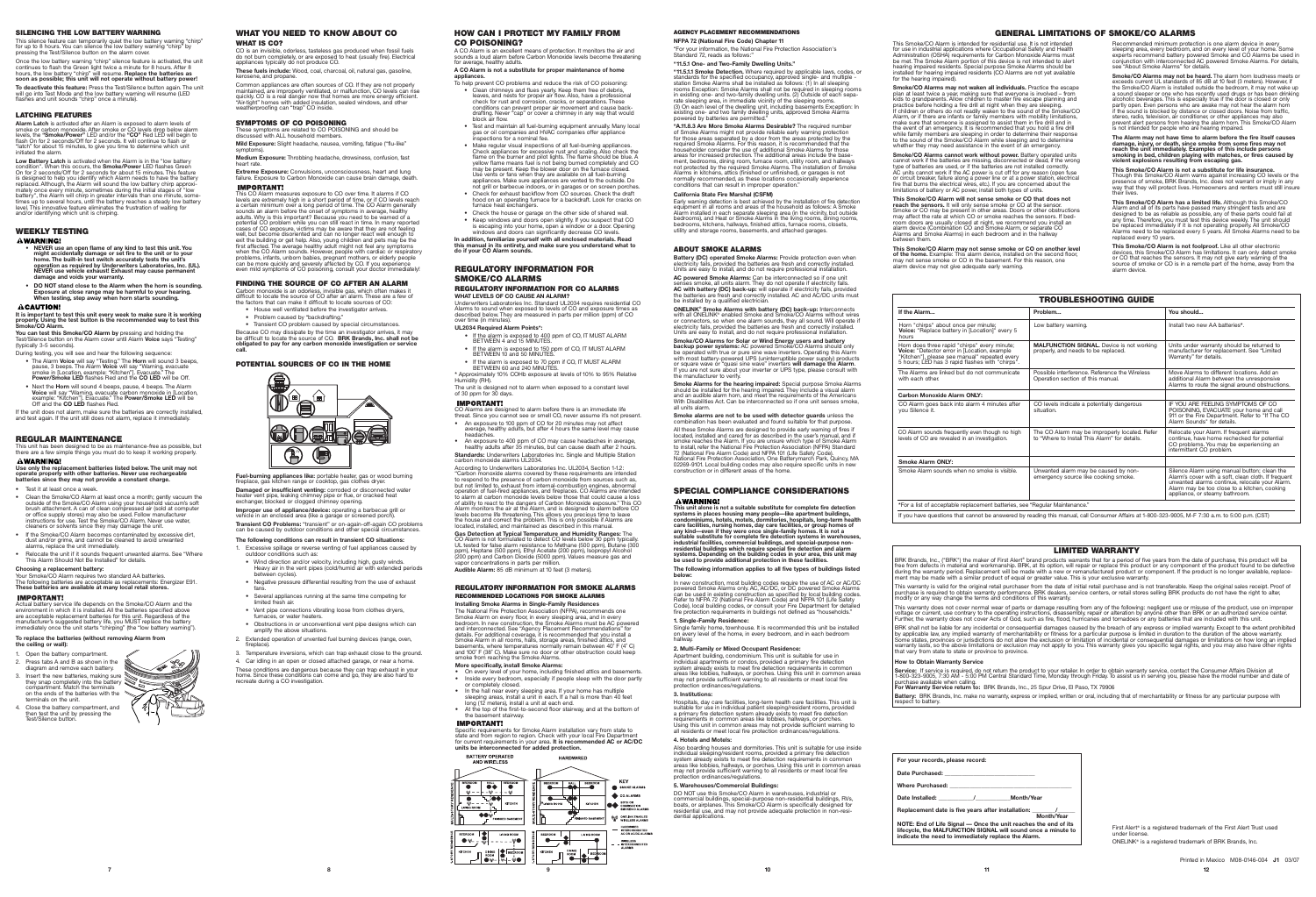

# **WHAT YOU NEED TO KNOW ABOUT CO WHAT IS CO?**

CO is an invisible, odorless, tasteless gas produced when fossil fuels do not burn completely, or are exposed to heat (usually fire). Electrical appliances typically do not produce CO. **These fuels include:** Wood, coal, charcoal, oil, natural gas, gasoline, kerosene, and propane.

Common appliances are often sources of CO. If they are not properly maintained, are improperly ventilated, or malfunction, CO levels can rise quickly. CO is a real danger now that homes are more energy efficient. "Air-tight" homes with added insulation, sealed windows, and other weatherproofing can "trap" CO inside.

### **SYMPTOMS OF CO POISONING**

These symptoms are related to CO POISONING and should be discussed with ALL household members. **Mild Exposure:** Slight headache, nausea, vomiting, fatigue ("flu-like"

symptoms). **Medium Exposure:** Throbbing headache, drowsiness, confusion, fast

heart rate. **Extreme Exposure:** Convulsions, unconsciousness, heart and lung failure. Exposure to Carbon Monoxide can cause brain damage, death.

# **IMPORTANT!**

- Carbon monoxide is an odorless, invisible gas, which often makes it difficult to locate the source of CO after an alarm. These are a few of
- the factors that can make it difficult to locate sources of CO:
- House well ventilated before the investigator arrives.
- Problem caused by "backdrafting."

**Fuel-burning appliances like:** portable heater, gas or wood burning fireplace, gas kitchen range or cooktop, gas clothes dryer. **Damaged or insufficient venting:** corroded or disconnected water heater vent pipe, leaking chimney pipe or flue, or cracked heat exchanger, blocked or clogged chimney opening. **Improper use of appliance/device:** operating a barbecue grill or vehicle in an enclosed area (like a garage or screened porch). **Transient CO Problems:** "transient" or on-again-off-again CO problems can be caused by outdoor conditions and other special circumsta

This CO Alarm measures exposure to CO over time. It alarms if CO evels are extremely high in a short period of time, or if CO levels reach a certain minimum over a long period of time. The CO Alarm generally<br>sounds an alarm before the onset of symptoms in average, healthy<br>adults. Why is this important? Because you need to be warned of a potential CO problem while you can still react in time. In many reported cases of CO exposure, victims may be aware that they are not feeling well, but become disoriented and can no longer react well enough to exit the building or get help. Also, young children and pets may be the first affected. The average healthy adult might not feel any symptoms when the CO Alarm sounds. However, people with cardiac or respiratory problems, infants, unborn babies, pregnant mothers, or elderly people can be more quickly and severely affected by CO. If you experience even mild symptoms of CO poisoning, consult your doctor immediately!

### **FINDING THE SOURCE OF CO AFTER AN ALARM**

• Transient CO problem caused by special circumstances. Because CO may dissipate by the time an investigator arrives, it may be difficult to locate the source of CO. **BRK Brands, Inc. shall not be obligated to pay for any carbon monoxide investigation or service**

**call.**

#### **POTENTIAL SOURCES OF CO IN THE HOME**



**WHAT LEVELS OF CO CAUSE AN ALARM?** Underwriters Laboratories Inc. Standard UL2034 requires residential CO Alarms to sound when exposed to levels of CO and exposure times as described below. They are measured in parts per million (ppm) of CO over time (in minutes

#### **The following conditions can result in transient CO situations:** 1. Excessive spillage or reverse venting of fuel appliances caused by

- outdoor conditions such as: • Wind direction and/or velocity, including high, gusty winds.
- Heavy air in the vent pipes (cold/humid air with extended periods between cycles).
- Negative pressure differential resulting from the use of exhaust fans.
- Several appliances running at the same time competing for limited fresh air. • Vent pipe connections vibrating loose from clothes dryers,
- furnaces, or water heaters.
- Obstructions in or unconventional vent pipe designs which can amplify the above situations.
- 2. Extended operation of unvented fuel burning devices (range, oven, fireplace).
- 3. Temperature inversions, which can trap exhaust close to the ground. 4. Car idling in an open or closed attached garage, or near a home.

These conditions are dangerous because they can trap exhaust in your home. Since these conditions can come and go, they are also hard to recreate during a CO investigation.

# **HOW CAN I PROTECT MY FAMILY FROM CO POISONING?**

A CO Alarm is an excellent means of protection. It monitors the air and sounds a loud alarm before Carbon Monoxide levels become threatening for average, healthy adults. **A CO Alarm is not a substitute for proper maintenance of home** 

**appliances.**

- On every level of your home, including finished attics and basements. • Inside every bedroom, especially if people sleep with the door partly or completely closed.
- In the hall near every sleeping area. If your home has multiple sleeping areas, install a unit in each. If a hall is more than 40 feet
- long (12 meters), install a unit at each end.

**Battery (DC) operated Smoke Alarms: Provide protection even when** electricity fails, provided the batteries are fresh and correctly installed. Units are easy to install, and do not require professional installation.

- To help prevent CO problems and reduce the risk of CO poisoning: • Clean chimneys and flues yearly. Keep them free of debris, leaves, and nests for proper air flow. Also, have a professional check for rust and corrosion, cracks, or separations. These conditions can prevent proper air movement and cause backdrafting. Never "cap" or cover a chimney in any way that would block air flow.
- Test and maintain all fuel-burning equipment annually. Many local gas or oil companies and HVAC companies offer appliance inspections for a nominal fee.
- Make regular visual inspections of all fuel-burning appliances. Check appliances for excessive rust and scaling. Also check the flame on the burner and pilot lights. The flame should be blue. A yellow flame means fuel is not being burned completely and CO may be present. Keep the blower door on the furnace closed. Use vents or fans when they are available on all fuel-burning appliances. Make sure appliances are vented to the outside. Do not grill or barbecue indoors, or in garages or on screen porches.
- Check for exhaust backflow from CO sources. Check the draft hood on an operating furnace for a backdraft. Look for cracks on furnace heat exchangers.
- Check the house or garage on the other side of shared wall. • Keep windows and doors open slightly. If you suspect that CO is escaping into your home, open a window or a door. Opening windows and doors can significantly decrease CO levels.

**In addition, familiarize yourself with all enclosed materials. Read this manual in its entirety, and make sure you understand what to do if your CO Alarm sounds.**

### **REGULATORY INFORMATION FOR SMOKE/CO ALARMS**

# **REGULATORY INFORMATION FOR CO ALARMS**

This unit alone is not a suitable substitute for complete fire detection<br>systems in places housing many people—like apartment buildings,<br>condominiums, hotels, motels, dormitories, hospitals, long-term health<br>care facilitie suitable substitute for complete fire detection systems in warehouses,<br>industrial facilities, commercial buildings, and special-purpose non-<br>residential buildings which require special fire detection and alarm **systems. Depending on the building codes in your area, this unit may be used to provide additional protection in these facilities.**

- **UL2034 Required Alarm Points\*:**
- If the alarm is exposed to 400 ppm of CO, IT MUST ALARM BETWEEN 4 and 15 MINUTES.
- If the alarm is exposed to 150 ppm of CO, IT MUST ALARM BETWEEN 10 and 50 MINUTES.
- If the alarm is exposed to 70 ppm if CO, IT MUST ALARM BETWEEN 60 and 240 MINUTES.

**\*** Approximately 10% COHb exposure at levels of 10% to 95% Relative Humidity (RH). The unit is designed not to alarm when exposed to a constant level of 30 ppm for 30 days.

# **IMPORTANT!**

CO Alarms are designed to alarm before there is an immediate life threat. Since you cannot see or smell CO, never assume it's not present.

- An exposure to 100 ppm of CO for 20 minutes may not affect average, healthy adults, but after 4 hours the same level may cause
- headaches. • An exposure to 400 ppm of CO may cause headaches in average,
- healthy adults after 35 minutes, but can cause death after 2 hours. **Standards:** Underwriters Laboratories Inc. Single and Multiple Station carbon monoxide alarms UL2034.

First Alert® is a registered trademark of the First Alert Trust used under license. ONELINK® is a registered trademark of BRK Brands, Inc.

According to Underwriters Laboratories Inc. UL2034, Section 1-1.2: "Carbon monoxide alarms covered by these requirements are intended to respond to the presence of carbon monoxide from sources such as,<br>but not limited to, exhaust from internal-combustion engines, abnormal<br>operation of fuel-fired appliances, and fireplaces. CO Alarms are intended to alarm at carbon monoxide levels below those that could cause a loss<br>of ability to react to the dangers of Carbon Monoxide exposure." This CO<br>Alarm monitors the air at the Alarm, and is designed to alarm before CO levels become life threatening. This allows you precious time to leave the house and correct the problem. This is only possible if Alarms are located, installed, and maintained as described in this manual.

> BRK Brands, Inc., ("BRK") the maker of First Alert® brand products warrants that for a period of five years from the date of purchase, this product will be<br>free from defects in material and workmanship. BRK, at its option, during the warranty period. Replacement will be made with a new or remanufactured product or component. If the product is no longer available, replacement may be made with a similar product of equal or greater value. This is your exclusive warranty.

**Gas Detection at Typical Temperature and Humidity Ranges:** The CO Alarm is not formulated to detect CO levels below 30 ppm typically.<br>UL tested for false alarm resistance to Methane (500 ppm), Butane (300<br>ppm), Heptane (500 ppm), Ethyl Acetate (200 ppm), Isopropyl Alcohol (200 ppm) and Carbon Dioxide (5000 ppm). Values measure gas and vapor concentrations in parts per million. **Audible Alarm:** 85 dB minimum at 10 feet (3 meters).

> This warranty does not cover normal wear of parts or damage resulting from any of the following: negligent use or misuse of the product, use on improper<br>voltage or current, use contrary to the operating instructions, disas Further, the warranty does not cover Acts of God, such as fire, flood, hurricanes and tornadoes or any batteries that are included with this unit.

#### **REGULATORY INFORMATION FOR SMOKE ALARMS RECOMMENDED LOCATIONS FOR SMOKE ALARMS Installing Smoke Alarms in Single-Family Residences**

**Service:** If service is required, do not return the product to your retailer. In order to obtain warranty service, contact the Consumer Affairs Division at<br>1-800-323-9005, 7:30 AM - 5:00 PM Central Standard Time, Monday t purchase available when calling. **For Warranty Service return to:** BRK Brands, Inc., 25 Spur Drive, El Paso, TX 79906

**Battery:** BRK Brands, Inc. make no warranty, express or implied, written or oral, including that of merchantability or fitness for any particular purpose with espect to battery.

The National Fire Protection Association (NFPA), recommends one Smoke Alarm on every floor, in every sleeping area, and in every bedroom. In new construction, the Smoke Alarms must be AC powered and interconnected. See "Agency Placement Recommendations" for details. For additional coverage, it is recommended that you install a Smoke Alarm in all rooms, halls, storage areas, finished attics, and basements, where temperatures normally remain between 40˚ F (4˚ C) and 100˚ F (38˚ C). Make sure no door or other obstruction could keep smoke from reaching the Smoke Alarms.

### **More specifically, install Smoke Alarms:**

#### • At the top of the first-to-second floor stairway, and at the bottom of the basement stairway.

# **IMPORTANT!**

Specific requirements for Smoke Alarm installation vary from state to state and from region to region. Check with your local Fire Department for current requirements in your area. **It is recommended AC or AC/DC units be interconnected for added protection.**

# **ABOUT SMOKE ALARMS**

**AC powered Smoke Alarms:** Can be interconnected so if one unit

**Smoke/CO Alarms may not waken all individuals.** Practice the escape plan at least twice a year, making sure that everyone is involved – from<br>kids to grandparents. Allow children to master fire escape planning and<br>practice before holding a fire drill at night when they are sleeping. If children or others do not readily waken to the sound of the Smoke/CO Alarm, or if there are infants or family members with mobility limitations, make sure that someone is assigned to assist them in fire drill and in the event of an emergency. It is recommended that you hold a fire drill<br>while family members are sleeping in order to determine their response<br>to the sound of the Smoke/CO Alarm while sleeping and to determine whether they may need assistance in the event of an emergency.

senses smoke, all units alarm. They do not operate if electricity fails. **AC with battery (DC) back-up:** will operate if electricity fails, provided the batteries are fresh and correctly installed. AC and AC/DC units must be installed by a qualified electrician.

**ONELINK® Smoke Alarms with battery (DC) back-up:** Interconnects with all ONELINK® enabled Smoke and Smoke/CO Alarms without wires or connectors, so when one alarm sounds, they all sound. Will operate if electricity fails, provided the batteries are fresh and correctly installed. Units are easy to install, and do not require professional installation.

# **Smoke/CO Alarms for Solar or Wind Energy users and battery backup power systems:** AC powered Smoke/CO Alarms should only

be operated with true or pure sine wave inverters. Operating this Alarm with most battery-powered UPS (uninterruptible power supply) products or square wave or "quasi sine wave" inverters **will damage the Alarm**. If you are not sure about your inverter or UPS type, please consult with

the manufacturer to verify.

**Smoke Alarms for the hearing impaired:** Special purpose Smoke Alarms should be installed for the hearing impaired. They include a visual alarm and an audible alarm horn, and meet the requirements of the Americans With Disabilities Act. Can be interconnected so if one unit senses smoke,

all units alarm.

**AWARNING!** 

# **Smoke alarms are not to be used with detector guards** unless the combination has been evaluated and found suitable for that purpose.

All these Smoke Alarms are designed to provide early warning of fires if located, installed and cared for as described in the user's manual, and if smoke reaches the Alarm. If you are unsure which type of Smoke Alarm to install, refer the National Fire Protection Association (NFPA) Standard 72 (National Fire Alarm Code) and NFPA 101 (Life Safety Code). National Fire Protection Association, One Batterymarch Park, Quincy, MA 02269-9101. Local building codes may also require specific units in new construction or in different areas of the home.

# **SPECIAL COMPLIANCE CONSIDERATIONS**

| For your records, please record:                                                                                                                                                        |
|-----------------------------------------------------------------------------------------------------------------------------------------------------------------------------------------|
|                                                                                                                                                                                         |
|                                                                                                                                                                                         |
| Date Installed: / Month/Year                                                                                                                                                            |
| Replacement date is five years after installation: ______________________________<br>Month/Year                                                                                         |
| NOTE: End of Life Signal - Once the unit reaches the end of its<br>lifecycle, the MALFUNCTION SIGNAL will sound once a minute to<br>indicate the need to immediately replace the Alarm. |

This unit has been designed to be as maintenance-free as possible, but there are a few simple things you must do to keep it working properly. **AWARNING!** 

**The following information applies to all five types of buildings listed**

**below:**

Your Smoke/CO Alarm requires two standard AA batteries. The following batteries are acceptable as replacements: Energizer E91. **These batteries are available at many local retail stores.**

#### **IMPORTANT!**

In new construction, most building codes require the use of AC or AC/DC powered Smoke Alarms only. AC, AC/DC, or DC powered Smoke Alarms can be used in existing construction as specified by local building codes. Refer to NFPA 72 (National Fire Alarm Code) and NFPA 101 (Life Safety Code), local building codes, or consult your Fire Department for detailed fire protection requirements in buildings not defined as "households." **1. Single-Family Residence:** 

Single family home, townhouse. It is recommended this unit be installed on every level of the home, in every bedroom, and in each bedroom

hallway.

**2. Multi-Family or Mixed Occupant Residence:** 

Apartment building, condominium. This unit is suitable for use in individual apartments or condos, provided a primary fire detection system already exists to meet fire detection requirements in common areas like lobbies, hallways, or porches. Using this unit in common areas may not provide sufficient warning to all residents or meet local fire protection ordinances/regulations.

**3. Institutions:** 

Hospitals, day care facilities, long-term health care facilities. This unit is suitable for use in individual patient sleeping/resident rooms, provided a primary fire detection system already exists to meet fire detection requirements in common areas like lobbies, hallways, or porches. Using this unit in common areas may not provide sufficient warning to all residents or meet local fire protection ordinances/regulations.

**4. Hotels and Motels:** 

Also boarding houses and dormitories. This unit is suitable for use inside individual sleeping/resident rooms, provided a primary fire detection system already exists to meet fire detection requirements in common areas like lobbies, hallways, or porches. Using this unit in common areas may not provide sufficient warning to all residents or meet local fire protection ordinances/regulations.

Once the low battery warning "chirp" silence feature is activated, the unit<br>continues to flash the Green light twice a minute for 8 hours. After 8<br>hours, the low battery "chirp" will resume. **Replace the batteries as soon as possible; this unit will not operate without battery power! To deactivate this feature:** Press the Test/Silence button again. The unit will go into Test Mode and the low battery warning will resume (LED flashes and unit sounds "chirp" once a minute).

# **5. Warehouses/Commercial Buildings:**

DO NOT use this Smoke/CO Alarm in warehouses, industrial or commercial buildings, special-purpose non-residential buildings, RVs, boats, or airplanes. This Smoke/CO Alarm is specifically designed for residential use, and may not provide adequate protection in non-resi-

dential applications.

### **LIMITED WARRANTY**

of Smoke Alarms might not provide reliable early warning protection for those areas separated by a door from the areas protected by the required Smoke Alarms. For this reason, it is recommended that the householder consider the use of additional Smoke Alarms for those areas for increased protection. The additional areas include the basement, bedrooms, dining room, furnace room, utility room, and hallways not protected by the required Smoke Alarms. The installation of Smoke Alarms in kitchens, attics (finished or unfinished), or garages is not normally recommended, as these locations occasionally experience conditions that can result in improper operation.

**California State Fire Marshal (CSFM)** Early warning detection is best achieved by the installation of fire detection equipment in all rooms and areas of the household as follows: A Smoke Alarm installed in each separate sleeping area (in the vicinity, but outside bedrooms), and Heat or Smoke Alarms in the living rooms, dining rooms, bedrooms, kitchens, hallways, finished attics, furnace rooms, closets, utility and storage rooms, basements, and attached garages.

> This warranty is valid for the original retail purchaser from the date of initial retail purchase and is not transferable. Keep the original sales receipt. Proof of purchase is required to obtain warranty performance. BRK dealers, service centers, or retail stores selling BRK products do not have the right to alter, modify or any way change the terms and conditions of this warranty.

BRK shall not be liable for any incidental or consequential damages caused by the breach of any express or implied warranty. Except to the extent prohibited by applicable law, any implied warranty of merchantability or fitness for a particular purpose is limited in duration to the duration of the above warranty.<br>Some states, provinces or jurisdictions do not allow the exclusio that vary from state to state or province to province.

#### **How to Obtain Warranty Service**

| <b>TROUBLESHOOTING GUIDE</b>                                                                                                                                                                     |                                                                                                                                                 |                                                                                                                                                                                                                                         |
|--------------------------------------------------------------------------------------------------------------------------------------------------------------------------------------------------|-------------------------------------------------------------------------------------------------------------------------------------------------|-----------------------------------------------------------------------------------------------------------------------------------------------------------------------------------------------------------------------------------------|
| If the Alarm                                                                                                                                                                                     | Problem                                                                                                                                         | You should                                                                                                                                                                                                                              |
| Horn "chirps" about once per minute;<br>Voice: "Replace battery in [Location]" every 5<br>hours                                                                                                  | Low battery warning.                                                                                                                            | Install two new AA batteries*.                                                                                                                                                                                                          |
| Horn does three rapid "chirps" every minute;<br>Voice: "Detector error in [Location, example<br>"Kitchen"], please see manual" repeated every<br>5 hours; LED has 3 rapid flashes with "chirps". | <b>MALFUNCTION SIGNAL.</b> Device is not working<br>properly, and needs to be replaced.                                                         | Units under warranty should be returned to<br>manufacturer for replacement. See "Limited<br>Warranty" for details.                                                                                                                      |
| The Alarms are linked but do not communicate<br>with each other.                                                                                                                                 | Possible interference. Reference the Wireless<br>Operation section of this manual.                                                              | Move Alarms to different locations. Add an<br>additional Alarm between the unresponsive<br>Alarms to route the signal around obstructions.                                                                                              |
| <b>Carbon Monoxide Alarm ONLY:</b>                                                                                                                                                               |                                                                                                                                                 |                                                                                                                                                                                                                                         |
| CO Alarm goes back into alarm 4 minutes after<br>you Silence it.                                                                                                                                 | CO levels indicate a potentially dangerous<br>situation.                                                                                        | IF YOU ARE FEELING SYMPTOMS OF CO.<br>POISONING, EVACUATE your home and call<br>911 or the Fire Department. Refer to "If The CO<br>Alarm Sounds" for details.                                                                           |
| CO Alarm sounds frequently even though no high<br>levels of CO are revealed in an investigation.                                                                                                 | The CO Alarm may be improperly located. Refer<br>to "Where to Install This Alarm" for details.                                                  | Relocate your Alarm. If frequent alarms<br>continue, have home rechecked for potential<br>CO problems. You may be experiencing an<br>intermittent CO problem.                                                                           |
| <b>Smoke Alarm ONLY:</b>                                                                                                                                                                         |                                                                                                                                                 |                                                                                                                                                                                                                                         |
| Smoke Alarm sounds when no smoke is visible.                                                                                                                                                     | Unwanted alarm may be caused by non-<br>emergency source like cooking smoke.                                                                    | Silence Alarm using manual button; clean the<br>Alarm's cover with a soft, clean cloth. If frequent<br>unwanted alarms continue, relocate your Alarm.<br>Alarm may be too close to a kitchen, cooking<br>appliance, or steamy bathroom. |
| *For a list of acceptable replacement batteries, see "Reqular Maintenance."                                                                                                                      |                                                                                                                                                 |                                                                                                                                                                                                                                         |
|                                                                                                                                                                                                  | If you have questions that cannot be answered by reading this manual, call Consumer Affairs at 1-800-323-9005, M-F 7:30 a.m. to 5:00 p.m. (CST) |                                                                                                                                                                                                                                         |

This Smoke/CO Alarm is intended for residential use. It is not intended for use in industrial applications where Occupational Safety and Health Administration (OSHA) requirements for Carbon Monoxide Alarms must be met. The Smoke Alarm portion of this device is not intended to alert<br>hearing impaired residents. Special purpose Smoke Alarms should be<br>installed for hearing impaired residents (CO Alarms are not yet available for the hearing impaired).

**Smoke/CO Alarms cannot work without power.** Battery operated units cannot work if the batteries are missing, disconnected or dead, if the wrong<br>type of batteries are used, or if the batteries are not installed correctly.<br>AC units cannot work if the AC power is cut off for any reason (open or circuit breaker, failure along a power line or at a power station, electrical fire that burns the electrical wires, etc.). If you are concerned about the limitations of battery or AC power, install both types of units.

**This Smoke/CO Alarm will not sense smoke or CO that does not reach the sensors.** It will only sense smoke or CO at the sensor. Smoke or CO may be present in other areas. Doors or other obstructions may affect the rate at which CO or smoke reaches the sensors. If bedroom doors are usually closed at night, we recommend you install an alarm device (Combination CO and Smoke Alarm, or separate CO All deriver (communication of direct binario, and simulation of the hallway between them.

**This Smoke/CO Alarm may not sense smoke or CO on another level of the home.** Example: This alarm device, installed on the second floor, may not sense smoke or CO in the basement. For this reason, one alarm device may not give adequate early warning.

Recommended minimum protection is one alarm device in every

**Smoke/CO Alarms may not be heard.** The alarm horn loudness meets or<br>exceeds current UL standards of 85 dB at 10 feet (3 meters). However, if<br>the Smoke/CO Alarm is installed outside the bedroom, it may not wake up a sound sleeper or one who has recently used drugs or has been drinking alcoholic beverages. This is especially true if the door is closed or only partly open. Even persons who are awake may not hear the alarm horn if the sound is blocked by distance or closed doors. Noise from traffic, stereo, radio, television, air conditioner, or other appliances may also prevent alert persons from hearing the alarm horn. This Smoke/CO Alarm s not intended for people who are hearing impaired.

sleeping area, every bedroom, and on every level of your home. Some experts recommend battery powered Smoke and CO Alarms be used in conjunction with interconnected AC powered Smoke Alarms. For details, see "About Smoke Alarms" for details.

**The Alarm may not have time to alarm before the fire itself causes damage, injury, or death, since smoke from some fires may not reach the unit immediately. Examples of this include persons smoking in bed, children playing with matches, or fires caused by violent explosions resulting from escaping gas.**

**This Smoke/CO Alarm is not a substitute for life insurance.** Though this Smoke/CO Alarm warns against increasing CO levels or the presence of smoke, BRK Brands, Inc. does not warrant or imply in any way that they will protect lives. Homeowners and renters must still insure their lives.

**This Smoke/CO Alarm has a limited life.** Although this Smoke/CO Alarm and all of its parts have passed many stringent tests and are designed to be as reliable as possible, any of these parts could fail at any time. Therefore, you must test this device weekly. The unit should be replaced immediately if it is not operating properly. All Smoke/CO Alarms need to be replaced every 5 years. All Smoke Alarms need to be replaced every 10 years.

**This Smoke/CO Alarm is not foolproof.** Like all other electronic devices, this Smoke/CO Alarm has limitations. It can only detect smoke or CO that reaches the sensors. It may not give early warning of the source of smoke or CO is in a remote part of the home, away from the alarm device.

# **GENERAL LIMITATIONS OF SMOKE/CO ALARMS**

#### **REGULAR MAINTENANCE**

# **Use only the replacement batteries listed below. The unit may not operate properly with other batteries. Never use rechargeable batteries since they may not provide a constant charge.**

- Test it at least once a week.
- Clean the Smoke/CO Alarm at least once a month; gently vacuum the outside of the Smoke/CO Alarm using your household vacuum's soft brush attachment. A can of clean compressed air (sold at computer or office supply stores) may also be used. Follow manufacturer instructions for use. Test the Smoke/CO Alarm. Never use water, cleaners or solvents since they may damage the unit.
- If the Smoke/CO Alarm becomes contaminated by excessive dirt, dust and/or grime, and cannot be cleaned to avoid unwanted
- alarms, replace the unit immediately. • Relocate the unit if it sounds frequent unwanted alarms. See "Where This Alarm Should Not Be Installed" for details.

#### **Choosing a replacement battery:**

Actual battery service life depends on the Smoke/CO Alarm and the environment in which it is installed. All the batteries specified above are acceptable replacement batteries for this unit. Regardless of the manufacturer's suggested battery life, you MUST replace the battery immediately once the unit starts "chirping" (the "low battery warning").

#### **To replace the batteries (without removing Alarm from**

- **the ceiling or wall):**
- 1. Open the battery compartment.

2. Press tabs A and B as shown in the diagram and remove each battery. 3. Insert the new batteries, making sure they snap completely into the battery compartment. Match the terminals on the ends of the batteries with the

terminals on the unit.



Test/Silence button.

# **WEEKLY TESTING**

**AWARNING!** 

- **NEVER use an open flame of any kind to test this unit. You might accidentally damage or set fire to the unit or to your home. The built-in test switch accurately tests the unit's operation as required by Underwriters Laboratories, Inc. (UL). NEVER use vehicle exhaust! Exhaust may cause permanent damage and voids your warranty.**
- **DO NOT stand close to the Alarm when the horn is sounding. Exposure at close range may be harmful to your hearing. When testing, step away when horn starts sounding.**

### **ACAUTION!**

**It is important to test this unit every week to make sure it is working properly. Using the test button is the recommended way to test this Smoke/CO Alarm.**

**You can test this Smoke/CO Alarm by** pressing and holding the Test/Silence button on the Alarm cover until Alarm **Voice** says "Testing" (typically 3-5 seconds).

- During testing, you will see and hear the following sequence: • The Alarm **Voice** will say "Testing." The **Horn** will sound 3 beeps, pause, 3 beeps. The Alarm **Voice** will say "Warning, evacuate<br>smoke in [Location, example: "Kitchen"]. Evacuate." The<br>**Power/Smoke LED** flashes Red and the **CO LED** will be Off.
- Next the **Horn** will sound 4 beeps, pause, 4 beeps. The Alarm **Voice** will say "Warning, evacuate carbon monoxide in [Location,<br>example: "Kitchen"]. Evacuate." The **Power/Smoke LED** will be<br>Off and the **CO LED** flashes Red.
- If the unit does not alarm, make sure the batteries are correctly installed, and test again. If the unit still does not alarm, replace it immediately.

### **SILENCING THE LOW BATTERY WARNING**

This silence feature can temporarily quiet the low battery warning "chirp" for up to 8 hours. You can silence the low battery warning "chirp" by pressing the Test/Silence button on the alarm cover.

### **LATCHING FEATURES**

**Alarm Latch** is activated after an Alarm is exposed to alarm levels of smoke or carbon monoxide. After smoke or CO levels drop below alarm levels, the **"Smoke/Power"** LED and/or the **"CO"** Red LED will begin to flash On for 2 seconds/Off for 2 seconds. It will continue to flash or "latch" for about 15 minutes, to give you time to determine which unit initiated the alarm.

**Low Battery Latch** is activated when the Alarm is in the "low battery condition". When this occurs, the **Smoke/Power** LED flashes Green On for 2 seconds/Off for 2 seconds for about 15 minutes. This feature is designed to help you identify which Alarm needs to have the battery replaced. Although, the Alarm will sound the low battery chirp approximately once every minute, sometimes during the initial stages of "low battery", the Alarm will chirp in greater intervals than one minute, some-times up to several hours, until the battery reaches a steady low battery level. This innovative feature eliminates the frustration of waiting for and/or identifying which unit is chirping.

#### **AGENCY PLACEMENT RECOMMENDATIONS NFPA 72 (National Fire Code) Chapter 11**

"For your information, the National Fire Protection Association's

Standard 72, reads as follows:"

**"11.5.1 One- and Two-Family Dwelling Units."** "11.5.1.1 Smoke Detection. Where required by applicable laws, codes, or standards for the specified occupancy, approved single- and multiple -<br>station Smoke Alarms shall be installed as follows: (1) In all sleeping rooms Exception: Smoke Alarms shall not be required in sleeping rooms in existing one- and two-family dwelling units. (2) Outside of each separate sleeping area, in immediate vicinity of the sleeping rooms. (3) On each level of the dwelling unit, including basements Exception: In existing one- and two family dwelling units, approved Smoke Alarms powered by batteries are permitted." **"A.11.8.3 Are More Smoke Alarms Desirable?** The required number